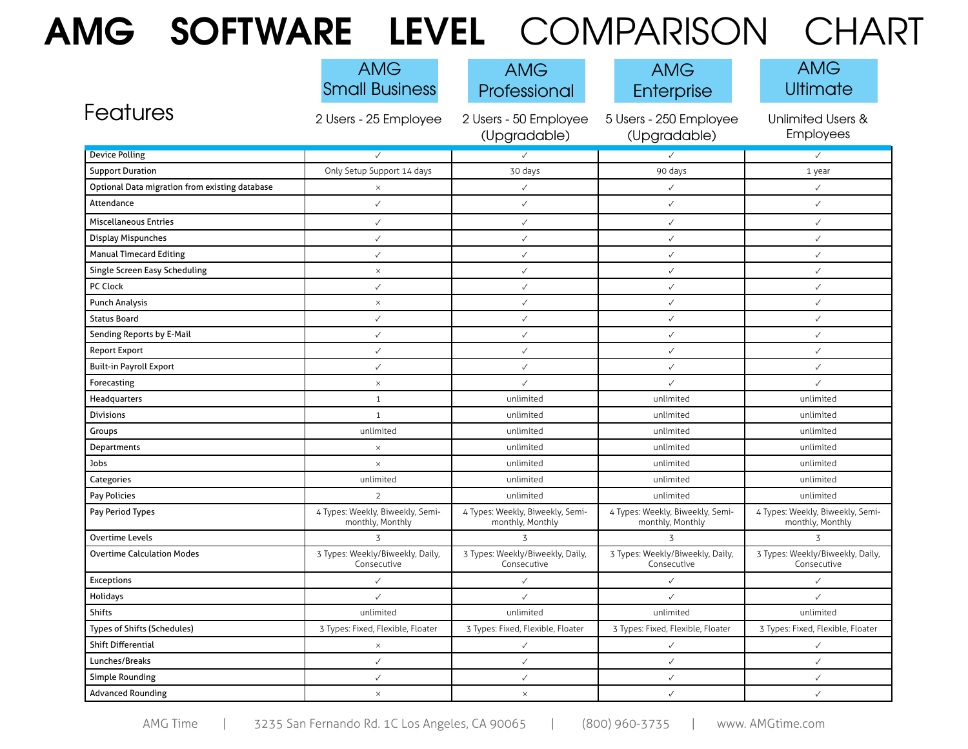## **AMG SOFTWARE LEVEL** COMPARISON CHART

|                                                | <b>AMG</b><br><b>Small Business</b>                  | <b>AMG</b><br>Professional                           | <b>AMG</b><br>Enterprise                             | <b>AMG</b><br>Ultimate                               |
|------------------------------------------------|------------------------------------------------------|------------------------------------------------------|------------------------------------------------------|------------------------------------------------------|
| Features                                       | 2 Users - 25 Employee                                | 2 Users - 50 Employee<br>(Upgradable)                | 5 Users - 250 Employee<br>(Upgradable)               | <b>Unlimited Users &amp;</b><br>Employees            |
| <b>Device Polling</b>                          | $\checkmark$                                         | ✓                                                    | $\checkmark$                                         | $\checkmark$                                         |
| <b>Support Duration</b>                        | Only Setup Support 14 days                           | 30 days                                              | 90 days                                              | 1 year                                               |
| Optional Data migration from existing database | $\times$                                             | $\checkmark$                                         | $\checkmark$                                         | $\checkmark$                                         |
| Attendance                                     | $\checkmark$                                         | $\checkmark$                                         | $\checkmark$                                         | $\checkmark$                                         |
| <b>Miscellaneous Entries</b>                   | $\checkmark$                                         | $\checkmark$                                         | $\checkmark$                                         | $\checkmark$                                         |
| <b>Display Mispunches</b>                      | $\checkmark$                                         | $\checkmark$                                         | $\checkmark$                                         | $\checkmark$                                         |
| <b>Manual Timecard Editing</b>                 | $\checkmark$                                         | $\checkmark$                                         | $\checkmark$                                         | $\checkmark$                                         |
| <b>Single Screen Easy Scheduling</b>           | $\times$                                             | $\checkmark$                                         | $\checkmark$                                         | $\checkmark$                                         |
| PC Clock                                       | $\checkmark$                                         | $\checkmark$                                         | $\checkmark$                                         | $\checkmark$                                         |
| <b>Punch Analysis</b>                          | $\times$                                             | ✓                                                    | $\checkmark$                                         | $\checkmark$                                         |
| <b>Status Board</b>                            | $\checkmark$                                         | $\checkmark$                                         | $\checkmark$                                         | $\checkmark$                                         |
| Sending Reports by E-Mail                      | $\checkmark$                                         | ✓                                                    | $\checkmark$                                         | $\checkmark$                                         |
| <b>Report Export</b>                           | $\checkmark$                                         | $\checkmark$                                         | $\checkmark$                                         | $\checkmark$                                         |
| <b>Built-in Payroll Export</b>                 | $\checkmark$                                         | $\checkmark$                                         | $\checkmark$                                         | $\checkmark$                                         |
| Forecasting                                    | $\times$                                             | ✓                                                    | $\checkmark$                                         | $\checkmark$                                         |
| Headquarters                                   | $\mathbf{1}$                                         | unlimited                                            | unlimited                                            | unlimited                                            |
| Divisions                                      | $\mathbf{1}$                                         | unlimited                                            | unlimited                                            | unlimited                                            |
| Groups                                         | unlimited                                            | unlimited                                            | unlimited                                            | unlimited                                            |
| Departments                                    | $\times$                                             | unlimited                                            | unlimited                                            | unlimited                                            |
| Jobs                                           | $\times$                                             | unlimited                                            | unlimited                                            | unlimited                                            |
| Categories                                     | unlimited                                            | unlimited                                            | unlimited                                            | unlimited                                            |
| Pay Policies                                   | $\overline{2}$                                       | unlimited                                            | unlimited                                            | unlimited                                            |
| Pay Period Types                               | 4 Types: Weekly, Biweekly, Semi-<br>monthly, Monthly | 4 Types: Weekly, Biweekly, Semi-<br>monthly, Monthly | 4 Types: Weekly, Biweekly, Semi-<br>monthly, Monthly | 4 Types: Weekly, Biweekly, Semi-<br>monthly, Monthly |
| <b>Overtime Levels</b>                         | $\overline{3}$                                       | 3                                                    | 3                                                    | $\overline{3}$                                       |
| <b>Overtime Calculation Modes</b>              | 3 Types: Weekly/Biweekly, Daily,<br>Consecutive      | 3 Types: Weekly/Biweekly, Daily,<br>Consecutive      | 3 Types: Weekly/Biweekly, Daily,<br>Consecutive      | 3 Types: Weekly/Biweekly, Daily,<br>Consecutive      |
| <b>Exceptions</b>                              | $\checkmark$                                         | ✓                                                    | ✓                                                    | $\checkmark$                                         |
| Holidays                                       | $\checkmark$                                         | $\checkmark$                                         | $\checkmark$                                         | $\checkmark$                                         |
| Shifts                                         | unlimited                                            | unlimited                                            | unlimited                                            | unlimited                                            |
| Types of Shifts (Schedules)                    | 3 Types: Fixed, Flexible, Floater                    | 3 Types: Fixed, Flexible, Floater                    | 3 Types: Fixed, Flexible, Floater                    | 3 Types: Fixed, Flexible, Floater                    |
| <b>Shift Differential</b>                      | $\times$                                             | ✓                                                    | $\checkmark$                                         | $\checkmark$                                         |
| Lunches/Breaks                                 | $\checkmark$                                         | $\checkmark$                                         | $\checkmark$                                         | $\checkmark$                                         |
| <b>Simple Rounding</b>                         | $\checkmark$                                         | $\checkmark$                                         | $\checkmark$                                         | $\checkmark$                                         |
| <b>Advanced Rounding</b>                       | $\times$                                             | $\times$                                             | $\checkmark$                                         | $\checkmark$                                         |